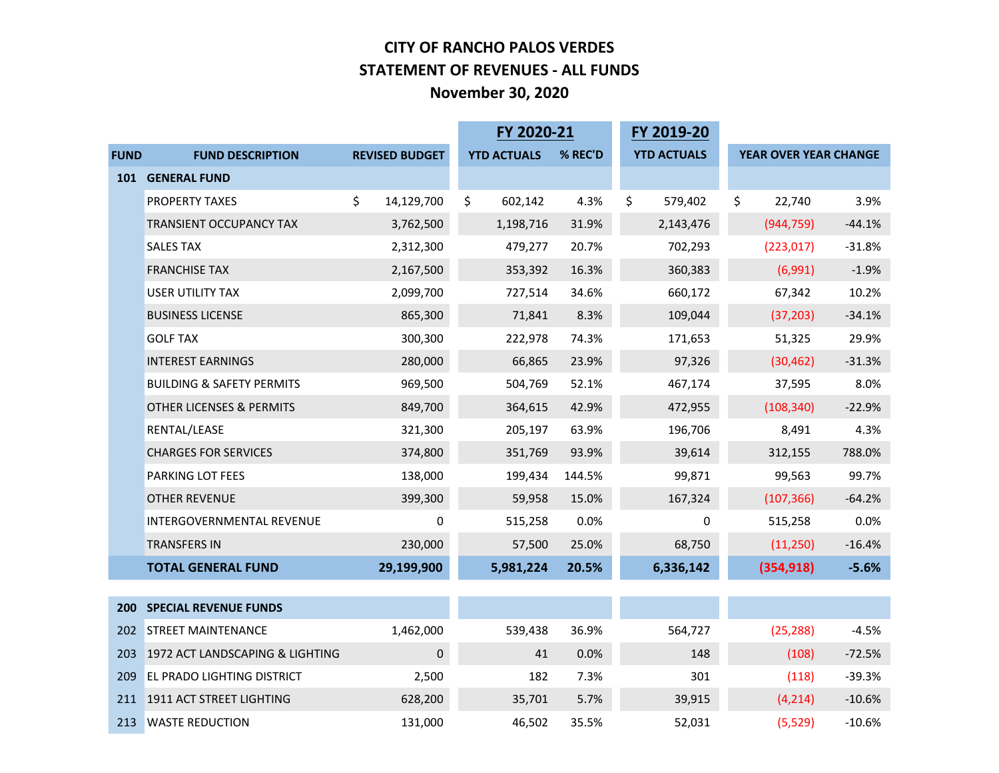#### **CITY OF RANCHO PALOS VERDES STATEMENT OF REVENUES - ALL FUNDS November 30, 2020**

|             |                                      |                       | FY 2020-21         |         | FY 2019-20         |                       |          |
|-------------|--------------------------------------|-----------------------|--------------------|---------|--------------------|-----------------------|----------|
| <b>FUND</b> | <b>FUND DESCRIPTION</b>              | <b>REVISED BUDGET</b> | <b>YTD ACTUALS</b> | % REC'D | <b>YTD ACTUALS</b> | YEAR OVER YEAR CHANGE |          |
| 101         | <b>GENERAL FUND</b>                  |                       |                    |         |                    |                       |          |
|             | PROPERTY TAXES                       | \$<br>14,129,700      | \$<br>602,142      | 4.3%    | \$<br>579,402      | \$<br>22,740          | 3.9%     |
|             | TRANSIENT OCCUPANCY TAX              | 3,762,500             | 1,198,716          | 31.9%   | 2,143,476          | (944, 759)            | $-44.1%$ |
|             | <b>SALES TAX</b>                     | 2,312,300             | 479,277            | 20.7%   | 702,293            | (223, 017)            | $-31.8%$ |
|             | <b>FRANCHISE TAX</b>                 | 2,167,500             | 353,392            | 16.3%   | 360,383            | (6,991)               | $-1.9%$  |
|             | <b>USER UTILITY TAX</b>              | 2,099,700             | 727,514            | 34.6%   | 660,172            | 67,342                | 10.2%    |
|             | <b>BUSINESS LICENSE</b>              | 865,300               | 71,841             | 8.3%    | 109,044            | (37, 203)             | $-34.1%$ |
|             | <b>GOLF TAX</b>                      | 300,300               | 222,978            | 74.3%   | 171,653            | 51,325                | 29.9%    |
|             | <b>INTEREST EARNINGS</b>             | 280,000               | 66,865             | 23.9%   | 97,326             | (30, 462)             | $-31.3%$ |
|             | <b>BUILDING &amp; SAFETY PERMITS</b> | 969,500               | 504,769            | 52.1%   | 467,174            | 37,595                | 8.0%     |
|             | OTHER LICENSES & PERMITS             | 849,700               | 364,615            | 42.9%   | 472,955            | (108, 340)            | $-22.9%$ |
|             | RENTAL/LEASE                         | 321,300               | 205,197            | 63.9%   | 196,706            | 8,491                 | 4.3%     |
|             | <b>CHARGES FOR SERVICES</b>          | 374,800               | 351,769            | 93.9%   | 39,614             | 312,155               | 788.0%   |
|             | PARKING LOT FEES                     | 138,000               | 199,434            | 144.5%  | 99,871             | 99,563                | 99.7%    |
|             | <b>OTHER REVENUE</b>                 | 399,300               | 59,958             | 15.0%   | 167,324            | (107, 366)            | $-64.2%$ |
|             | INTERGOVERNMENTAL REVENUE            | $\Omega$              | 515,258            | 0.0%    | $\mathbf 0$        | 515,258               | 0.0%     |
|             | <b>TRANSFERS IN</b>                  | 230,000               | 57,500             | 25.0%   | 68,750             | (11,250)              | $-16.4%$ |
|             | <b>TOTAL GENERAL FUND</b>            | 29,199,900            | 5,981,224          | 20.5%   | 6,336,142          | (354, 918)            | $-5.6%$  |
|             |                                      |                       |                    |         |                    |                       |          |
| <b>200</b>  | <b>SPECIAL REVENUE FUNDS</b>         |                       |                    |         |                    |                       |          |
| 202         | <b>STREET MAINTENANCE</b>            | 1,462,000             | 539,438            | 36.9%   | 564,727            | (25, 288)             | $-4.5%$  |
| 203         | 1972 ACT LANDSCAPING & LIGHTING      | $\mathbf{0}$          | 41                 | 0.0%    | 148                | (108)                 | $-72.5%$ |
| 209         | <b>EL PRADO LIGHTING DISTRICT</b>    | 2,500                 | 182                | 7.3%    | 301                | (118)                 | $-39.3%$ |
| 211         | 1911 ACT STREET LIGHTING             | 628,200               | 35,701             | 5.7%    | 39,915             | (4, 214)              | $-10.6%$ |
| 213         | <b>WASTE REDUCTION</b>               | 131,000               | 46,502             | 35.5%   | 52,031             | (5, 529)              | $-10.6%$ |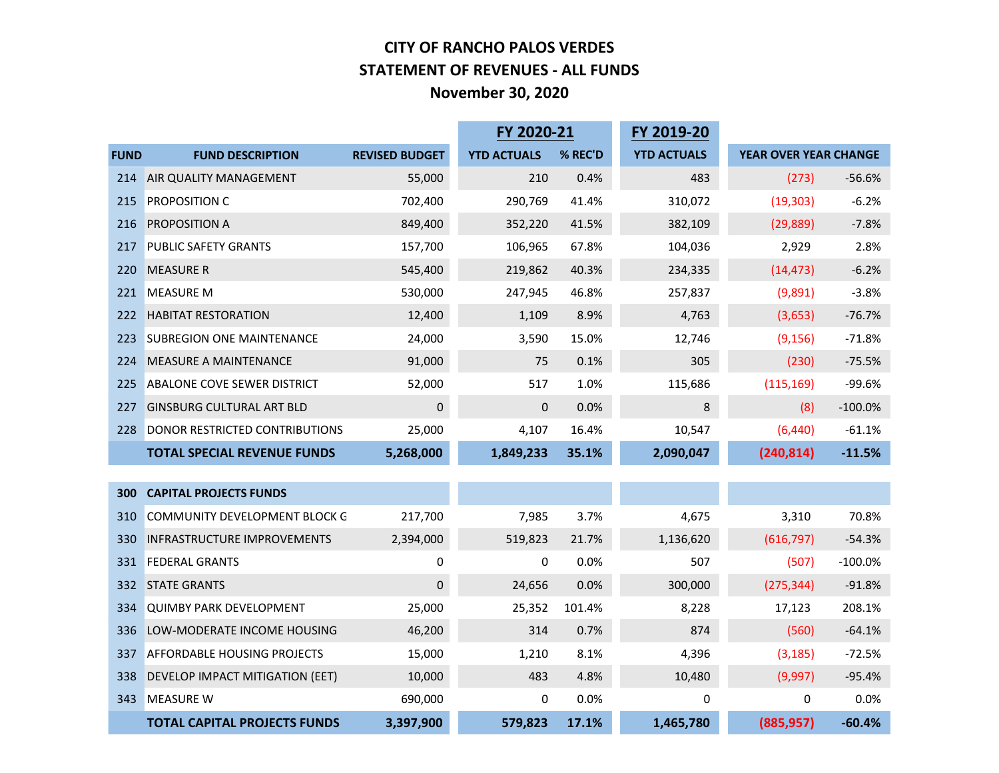#### **CITY OF RANCHO PALOS VERDES STATEMENT OF REVENUES - ALL FUNDS November 30, 2020**

|             |                                     |                       | FY 2020-21         |         | FY 2019-20         |                       |           |
|-------------|-------------------------------------|-----------------------|--------------------|---------|--------------------|-----------------------|-----------|
| <b>FUND</b> | <b>FUND DESCRIPTION</b>             | <b>REVISED BUDGET</b> | <b>YTD ACTUALS</b> | % REC'D | <b>YTD ACTUALS</b> | YEAR OVER YEAR CHANGE |           |
| 214         | AIR QUALITY MANAGEMENT              | 55,000                | 210                | 0.4%    | 483                | (273)                 | $-56.6%$  |
| 215         | <b>PROPOSITION C</b>                | 702,400               | 290,769            | 41.4%   | 310,072            | (19, 303)             | $-6.2%$   |
| 216         | PROPOSITION A                       | 849,400               | 352,220            | 41.5%   | 382,109            | (29, 889)             | $-7.8%$   |
| 217         | <b>PUBLIC SAFETY GRANTS</b>         | 157,700               | 106,965            | 67.8%   | 104,036            | 2,929                 | 2.8%      |
| 220         | <b>MEASURE R</b>                    | 545,400               | 219,862            | 40.3%   | 234,335            | (14, 473)             | $-6.2%$   |
| 221         | <b>MEASURE M</b>                    | 530,000               | 247,945            | 46.8%   | 257,837            | (9,891)               | $-3.8%$   |
| 222         | <b>HABITAT RESTORATION</b>          | 12,400                | 1,109              | 8.9%    | 4,763              | (3,653)               | $-76.7%$  |
| 223         | <b>SUBREGION ONE MAINTENANCE</b>    | 24,000                | 3,590              | 15.0%   | 12,746             | (9, 156)              | $-71.8%$  |
| 224         | <b>MEASURE A MAINTENANCE</b>        | 91,000                | 75                 | 0.1%    | 305                | (230)                 | $-75.5%$  |
| 225         | <b>ABALONE COVE SEWER DISTRICT</b>  | 52,000                | 517                | 1.0%    | 115,686            | (115, 169)            | $-99.6%$  |
| 227         | <b>GINSBURG CULTURAL ART BLD</b>    | $\mathbf 0$           | $\mathbf{0}$       | 0.0%    | 8                  | (8)                   | $-100.0%$ |
| 228         | DONOR RESTRICTED CONTRIBUTIONS      | 25,000                | 4,107              | 16.4%   | 10,547             | (6, 440)              | $-61.1%$  |
|             | <b>TOTAL SPECIAL REVENUE FUNDS</b>  | 5,268,000             | 1,849,233          | 35.1%   | 2,090,047          | (240, 814)            | $-11.5%$  |
|             |                                     |                       |                    |         |                    |                       |           |
| 300         | <b>CAPITAL PROJECTS FUNDS</b>       |                       |                    |         |                    |                       |           |
| 310         | COMMUNITY DEVELOPMENT BLOCK G       | 217,700               | 7,985              | 3.7%    | 4,675              | 3,310                 | 70.8%     |
| 330         | <b>INFRASTRUCTURE IMPROVEMENTS</b>  | 2,394,000             | 519,823            | 21.7%   | 1,136,620          | (616, 797)            | $-54.3%$  |
| 331         | <b>FEDERAL GRANTS</b>               | 0                     | 0                  | 0.0%    | 507                | (507)                 | $-100.0%$ |
| 332         | <b>STATE GRANTS</b>                 | $\mathbf 0$           | 24,656             | 0.0%    | 300,000            | (275, 344)            | $-91.8%$  |
| 334         | <b>QUIMBY PARK DEVELOPMENT</b>      | 25,000                | 25,352             | 101.4%  | 8,228              | 17,123                | 208.1%    |
| 336         | LOW-MODERATE INCOME HOUSING         | 46,200                | 314                | 0.7%    | 874                | (560)                 | $-64.1%$  |
| 337         | <b>AFFORDABLE HOUSING PROJECTS</b>  | 15,000                | 1,210              | 8.1%    | 4,396              | (3, 185)              | $-72.5%$  |
| 338         | DEVELOP IMPACT MITIGATION (EET)     | 10,000                | 483                | 4.8%    | 10,480             | (9,997)               | $-95.4%$  |
| 343         | <b>MEASURE W</b>                    | 690,000               | 0                  | 0.0%    | 0                  | 0                     | 0.0%      |
|             | <b>TOTAL CAPITAL PROJECTS FUNDS</b> | 3,397,900             | 579,823            | 17.1%   | 1,465,780          | (885, 957)            | $-60.4%$  |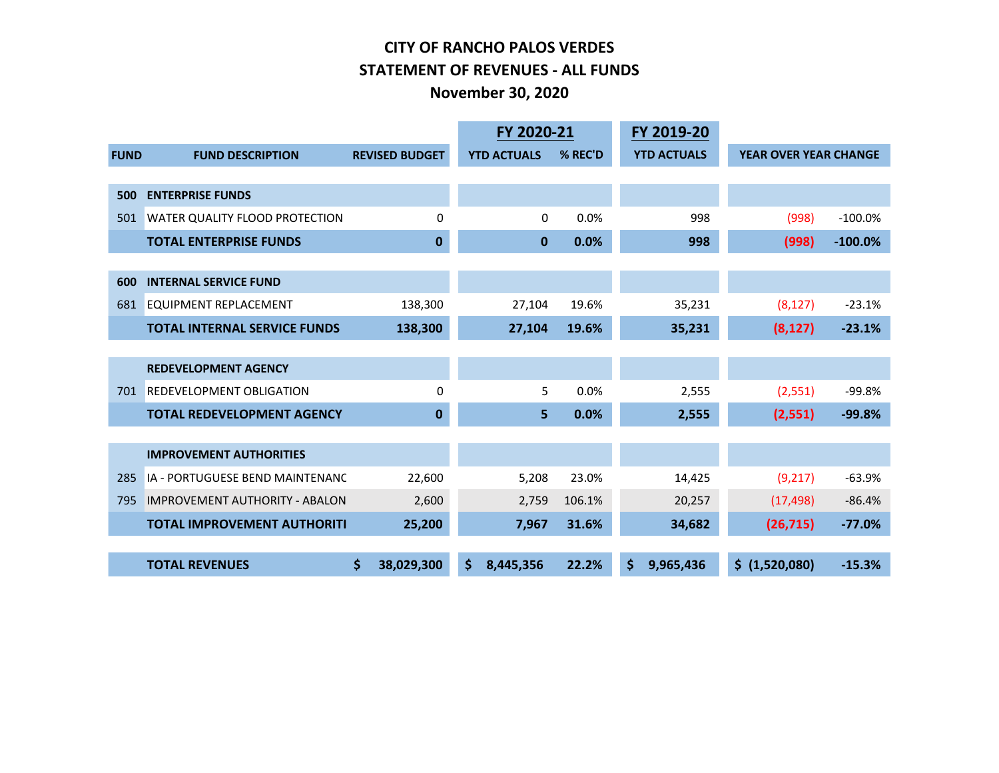#### **CITY OF RANCHO PALOS VERDES STATEMENT OF REVENUES - ALL FUNDS November 30, 2020**

|             | FY 2020-21                            |                       |    |                    | FY 2019-20 |                    |                              |           |
|-------------|---------------------------------------|-----------------------|----|--------------------|------------|--------------------|------------------------------|-----------|
| <b>FUND</b> | <b>FUND DESCRIPTION</b>               | <b>REVISED BUDGET</b> |    | <b>YTD ACTUALS</b> | % REC'D    | <b>YTD ACTUALS</b> | <b>YEAR OVER YEAR CHANGE</b> |           |
|             |                                       |                       |    |                    |            |                    |                              |           |
| 500         | <b>ENTERPRISE FUNDS</b>               |                       |    |                    |            |                    |                              |           |
| 501         | <b>WATER QUALITY FLOOD PROTECTION</b> | $\mathbf 0$           |    | $\mathbf 0$        | 0.0%       | 998                | (998)                        | $-100.0%$ |
|             | <b>TOTAL ENTERPRISE FUNDS</b>         | $\bf{0}$              |    | $\mathbf 0$        | 0.0%       | 998                | (998)                        | $-100.0%$ |
|             |                                       |                       |    |                    |            |                    |                              |           |
| 600         | <b>INTERNAL SERVICE FUND</b>          |                       |    |                    |            |                    |                              |           |
| 681         | <b>EQUIPMENT REPLACEMENT</b>          | 138,300               |    | 27,104             | 19.6%      | 35,231             | (8, 127)                     | $-23.1%$  |
|             | <b>TOTAL INTERNAL SERVICE FUNDS</b>   | 138,300               |    | 27,104             | 19.6%      | 35,231             | (8, 127)                     | $-23.1%$  |
|             |                                       |                       |    |                    |            |                    |                              |           |
|             | <b>REDEVELOPMENT AGENCY</b>           |                       |    |                    |            |                    |                              |           |
| 701         | <b>REDEVELOPMENT OBLIGATION</b>       | 0                     |    | 5                  | 0.0%       | 2,555              | (2,551)                      | $-99.8%$  |
|             | <b>TOTAL REDEVELOPMENT AGENCY</b>     | $\bf{0}$              |    | 5                  | 0.0%       | 2,555              | (2,551)                      | $-99.8%$  |
|             |                                       |                       |    |                    |            |                    |                              |           |
|             | <b>IMPROVEMENT AUTHORITIES</b>        |                       |    |                    |            |                    |                              |           |
| 285         | IA - PORTUGUESE BEND MAINTENANC       | 22,600                |    | 5,208              | 23.0%      | 14,425             | (9, 217)                     | $-63.9%$  |
| 795         | <b>IMPROVEMENT AUTHORITY - ABALON</b> | 2,600                 |    | 2,759              | 106.1%     | 20,257             | (17, 498)                    | $-86.4%$  |
|             | <b>TOTAL IMPROVEMENT AUTHORITI</b>    | 25,200                |    | 7,967              | 31.6%      | 34,682             | (26, 715)                    | $-77.0%$  |
|             |                                       |                       |    |                    |            |                    |                              |           |
|             | <b>TOTAL REVENUES</b>                 | \$<br>38,029,300      | \$ | 8,445,356          | 22.2%      | \$<br>9,965,436    | \$ (1,520,080)               | $-15.3%$  |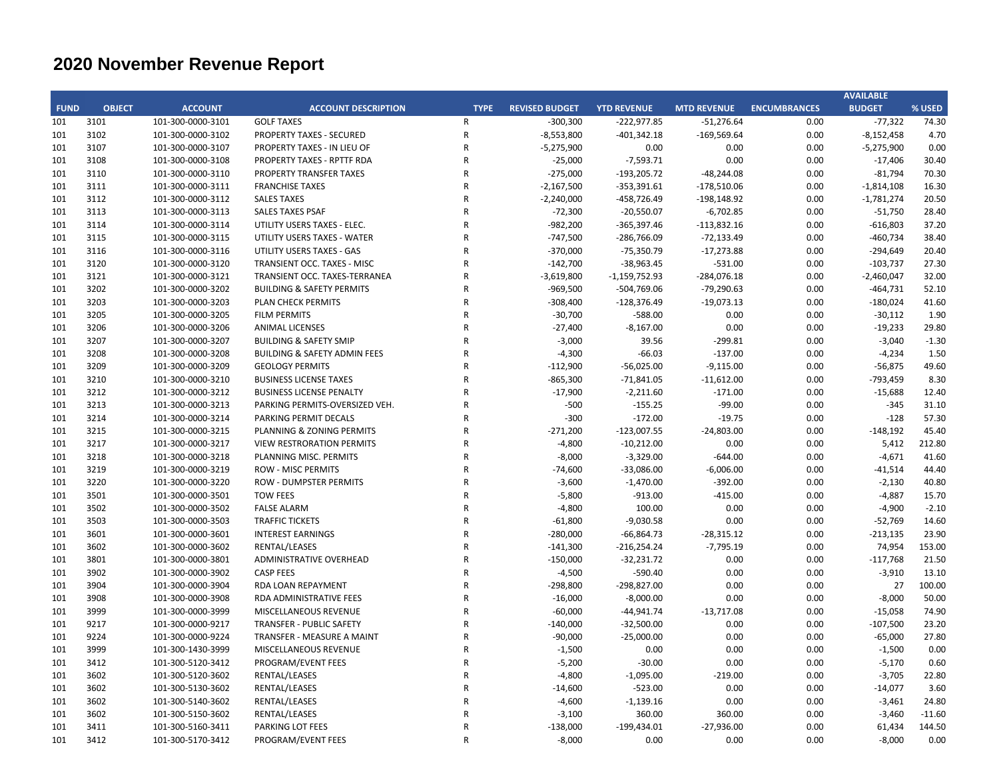|             |               |                                        |                                         |                |                       |                          |                       |                     | <b>AVAILABLE</b>    |                |
|-------------|---------------|----------------------------------------|-----------------------------------------|----------------|-----------------------|--------------------------|-----------------------|---------------------|---------------------|----------------|
| <b>FUND</b> | <b>OBJECT</b> | <b>ACCOUNT</b>                         | <b>ACCOUNT DESCRIPTION</b>              | <b>TYPE</b>    | <b>REVISED BUDGET</b> | <b>YTD REVENUE</b>       | <b>MTD REVENUE</b>    | <b>ENCUMBRANCES</b> | <b>BUDGET</b>       | % USED         |
| 101         | 3101          | 101-300-0000-3101                      | <b>GOLF TAXES</b>                       | $\mathsf{R}$   | $-300,300$            | $-222,977.85$            | $-51,276.64$          | 0.00                | $-77,322$           | 74.30          |
| 101         | 3102          | 101-300-0000-3102                      | <b>PROPERTY TAXES - SECURED</b>         | ${\sf R}$      | $-8,553,800$          | $-401,342.18$            | $-169,569.64$         | 0.00                | $-8,152,458$        | 4.70           |
| 101         | 3107          | 101-300-0000-3107                      | PROPERTY TAXES - IN LIEU OF             | ${\sf R}$      | $-5,275,900$          | 0.00                     | 0.00                  | 0.00                | $-5,275,900$        | 0.00           |
| 101         | 3108          | 101-300-0000-3108                      | <b>PROPERTY TAXES - RPTTF RDA</b>       | $\mathsf{R}$   | $-25,000$             | $-7,593.71$              | 0.00                  | 0.00                | $-17,406$           | 30.40          |
| 101         | 3110          | 101-300-0000-3110                      | PROPERTY TRANSFER TAXES                 | $\mathsf{R}$   | $-275,000$            | $-193,205.72$            | $-48,244.08$          | 0.00                | $-81,794$           | 70.30          |
| 101         | 3111          | 101-300-0000-3111                      | <b>FRANCHISE TAXES</b>                  | $\mathsf{R}$   | $-2,167,500$          | $-353,391.61$            | $-178,510.06$         | 0.00                | $-1,814,108$        | 16.30          |
| 101         | 3112          | 101-300-0000-3112                      | <b>SALES TAXES</b>                      | $\mathsf{R}$   | $-2,240,000$          | $-458,726.49$            | $-198,148.92$         | 0.00                | $-1,781,274$        | 20.50          |
| 101         | 3113          | 101-300-0000-3113                      | <b>SALES TAXES PSAF</b>                 | $\mathsf{R}$   | $-72,300$             | $-20,550.07$             | $-6,702.85$           | 0.00                | $-51,750$           | 28.40          |
| 101         | 3114          | 101-300-0000-3114                      | UTILITY USERS TAXES - ELEC.             | $\mathsf{R}$   | $-982,200$            | $-365,397.46$            | $-113,832.16$         | 0.00                | $-616,803$          | 37.20          |
| 101         | 3115          | 101-300-0000-3115                      | UTILITY USERS TAXES - WATER             | $\mathsf{R}$   | $-747,500$            | $-286,766.09$            | $-72,133.49$          | 0.00                | $-460,734$          | 38.40          |
| 101         | 3116          | 101-300-0000-3116                      | UTILITY USERS TAXES - GAS               | ${\sf R}$      | $-370,000$            | $-75,350.79$             | $-17,273.88$          | 0.00                | $-294,649$          | 20.40          |
| 101         | 3120          | 101-300-0000-3120                      | TRANSIENT OCC. TAXES - MISC             | $\overline{R}$ | $-142,700$            | $-38,963.45$             | $-531.00$             | 0.00                | $-103,737$          | 27.30          |
| 101         | 3121          | 101-300-0000-3121                      | TRANSIENT OCC. TAXES-TERRANEA           | $\mathsf{R}$   | $-3,619,800$          | $-1,159,752.93$          | $-284,076.18$         | 0.00                | $-2,460,047$        | 32.00          |
| 101         | 3202          | 101-300-0000-3202                      | <b>BUILDING &amp; SAFETY PERMITS</b>    | ${\sf R}$      | $-969,500$            | $-504,769.06$            | $-79,290.63$          | 0.00                | $-464,731$          | 52.10          |
| 101         | 3203          | 101-300-0000-3203                      | PLAN CHECK PERMITS                      | $\mathsf{R}$   | $-308,400$            | $-128,376.49$            | $-19,073.13$          | 0.00                | $-180,024$          | 41.60          |
| 101         | 3205          | 101-300-0000-3205                      | <b>FILM PERMITS</b>                     | $\mathsf{R}$   | $-30,700$             | $-588.00$                | 0.00                  | 0.00                | $-30,112$           | 1.90           |
| 101         | 3206          | 101-300-0000-3206                      | <b>ANIMAL LICENSES</b>                  | $\mathsf{R}$   | $-27,400$             | $-8,167.00$              | 0.00                  | 0.00                | $-19,233$           | 29.80          |
| 101         | 3207          | 101-300-0000-3207                      | <b>BUILDING &amp; SAFETY SMIP</b>       | $\mathsf{R}$   | $-3,000$              | 39.56                    | $-299.81$             | 0.00                | $-3,040$            | $-1.30$        |
| 101         | 3208          | 101-300-0000-3208                      | <b>BUILDING &amp; SAFETY ADMIN FEES</b> | $\mathsf{R}$   | $-4,300$              | $-66.03$                 | $-137.00$             | 0.00                | $-4,234$            | 1.50           |
| 101         | 3209          | 101-300-0000-3209                      | <b>GEOLOGY PERMITS</b>                  | $\mathsf{R}$   | $-112,900$            | $-56,025.00$             | $-9,115.00$           | 0.00                | $-56,875$           | 49.60          |
| 101         | 3210          | 101-300-0000-3210                      | <b>BUSINESS LICENSE TAXES</b>           | $\mathsf{R}$   | $-865,300$            | $-71,841.05$             | $-11,612.00$          | 0.00                | $-793,459$          | 8.30           |
| 101         | 3212          |                                        | <b>BUSINESS LICENSE PENALTY</b>         | $\mathsf{R}$   | $-17,900$             |                          |                       | 0.00                |                     |                |
| 101         | 3213          | 101-300-0000-3212<br>101-300-0000-3213 | PARKING PERMITS-OVERSIZED VEH.          | $\mathsf{R}$   | $-500$                | $-2,211.60$<br>$-155.25$ | $-171.00$<br>$-99.00$ | 0.00                | $-15,688$<br>$-345$ | 12.40<br>31.10 |
| 101         | 3214          |                                        |                                         | $\mathsf{R}$   |                       | $-172.00$                |                       |                     |                     | 57.30          |
|             | 3215          | 101-300-0000-3214                      | PARKING PERMIT DECALS                   | $\mathsf{R}$   | $-300$<br>$-271,200$  |                          | $-19.75$              | 0.00                | $-128$              | 45.40          |
| 101         |               | 101-300-0000-3215                      | PLANNING & ZONING PERMITS               |                |                       | $-123,007.55$            | $-24,803.00$          | 0.00                | $-148,192$          |                |
| 101         | 3217          | 101-300-0000-3217                      | <b>VIEW RESTRORATION PERMITS</b>        | $\mathsf{R}$   | $-4,800$              | $-10,212.00$             | 0.00                  | 0.00                | 5,412               | 212.80         |
| 101         | 3218          | 101-300-0000-3218                      | PLANNING MISC. PERMITS                  | $\mathsf{R}$   | $-8,000$              | $-3,329.00$              | $-644.00$             | 0.00                | $-4,671$            | 41.60          |
| 101         | 3219          | 101-300-0000-3219                      | <b>ROW - MISC PERMITS</b>               | $\mathsf{R}$   | $-74,600$             | $-33,086.00$             | $-6,006.00$           | 0.00                | $-41,514$           | 44.40          |
| 101         | 3220          | 101-300-0000-3220                      | <b>ROW - DUMPSTER PERMITS</b>           | $\mathsf{R}$   | $-3,600$              | $-1,470.00$              | $-392.00$             | 0.00                | $-2,130$            | 40.80          |
| 101         | 3501          | 101-300-0000-3501                      | <b>TOW FEES</b>                         | $\overline{R}$ | $-5,800$              | $-913.00$                | $-415.00$             | 0.00                | $-4,887$            | 15.70          |
| 101         | 3502          | 101-300-0000-3502                      | <b>FALSE ALARM</b>                      | $\mathsf{R}$   | $-4,800$              | 100.00                   | 0.00                  | 0.00                | $-4,900$            | $-2.10$        |
| 101         | 3503          | 101-300-0000-3503                      | <b>TRAFFIC TICKETS</b>                  | $\mathsf{R}$   | $-61,800$             | $-9,030.58$              | 0.00                  | 0.00                | $-52,769$           | 14.60          |
| 101         | 3601          | 101-300-0000-3601                      | <b>INTEREST EARNINGS</b>                | $\mathsf{R}$   | $-280,000$            | $-66,864.73$             | $-28,315.12$          | 0.00                | $-213,135$          | 23.90          |
| 101         | 3602          | 101-300-0000-3602                      | RENTAL/LEASES                           | $\mathsf{R}$   | $-141,300$            | $-216,254.24$            | $-7,795.19$           | 0.00                | 74,954              | 153.00         |
| 101         | 3801          | 101-300-0000-3801                      | ADMINISTRATIVE OVERHEAD                 | $\mathsf{R}$   | $-150,000$            | $-32,231.72$             | 0.00                  | 0.00                | $-117,768$          | 21.50          |
| 101         | 3902          | 101-300-0000-3902                      | <b>CASP FEES</b>                        | $\mathsf{R}$   | $-4,500$              | $-590.40$                | 0.00                  | 0.00                | $-3,910$            | 13.10          |
| 101         | 3904          | 101-300-0000-3904                      | RDA LOAN REPAYMENT                      | $\mathsf{R}$   | $-298,800$            | -298,827.00              | 0.00                  | 0.00                | 27                  | 100.00         |
| 101         | 3908          | 101-300-0000-3908                      | RDA ADMINISTRATIVE FEES                 | $\mathsf{R}$   | $-16,000$             | $-8,000.00$              | 0.00                  | 0.00                | $-8,000$            | 50.00          |
| 101         | 3999          | 101-300-0000-3999                      | MISCELLANEOUS REVENUE                   | $\overline{R}$ | $-60,000$             | $-44,941.74$             | $-13,717.08$          | 0.00                | $-15,058$           | 74.90          |
| 101         | 9217          | 101-300-0000-9217                      | TRANSFER - PUBLIC SAFETY                | $\mathsf{R}$   | $-140,000$            | $-32,500.00$             | 0.00                  | 0.00                | $-107,500$          | 23.20          |
| 101         | 9224          | 101-300-0000-9224                      | TRANSFER - MEASURE A MAINT              | $\mathsf{R}$   | $-90,000$             | $-25,000.00$             | 0.00                  | 0.00                | $-65,000$           | 27.80          |
| 101         | 3999          | 101-300-1430-3999                      | MISCELLANEOUS REVENUE                   | $\mathsf{R}$   | $-1,500$              | 0.00                     | 0.00                  | 0.00                | $-1,500$            | 0.00           |
| 101         | 3412          | 101-300-5120-3412                      | PROGRAM/EVENT FEES                      | $\mathsf{R}$   | $-5,200$              | $-30.00$                 | 0.00                  | 0.00                | $-5,170$            | 0.60           |
| 101         | 3602          | 101-300-5120-3602                      | RENTAL/LEASES                           | $\mathsf{R}$   | $-4,800$              | $-1,095.00$              | $-219.00$             | 0.00                | $-3,705$            | 22.80          |
| 101         | 3602          | 101-300-5130-3602                      | RENTAL/LEASES                           | $\overline{R}$ | $-14,600$             | $-523.00$                | 0.00                  | 0.00                | $-14,077$           | 3.60           |
| 101         | 3602          | 101-300-5140-3602                      | RENTAL/LEASES                           | $\mathsf{R}$   | $-4,600$              | $-1,139.16$              | 0.00                  | 0.00                | $-3,461$            | 24.80          |
| 101         | 3602          | 101-300-5150-3602                      | RENTAL/LEASES                           | $\mathsf{R}$   | $-3,100$              | 360.00                   | 360.00                | 0.00                | $-3,460$            | $-11.60$       |
| 101         | 3411          | 101-300-5160-3411                      | <b>PARKING LOT FEES</b>                 | $\mathsf{R}$   | $-138,000$            | $-199,434.01$            | $-27,936.00$          | 0.00                | 61,434              | 144.50         |
| 101         | 3412          | 101-300-5170-3412                      | PROGRAM/EVENT FEES                      | $\mathsf{R}$   | $-8,000$              | 0.00                     | 0.00                  | 0.00                | $-8,000$            | 0.00           |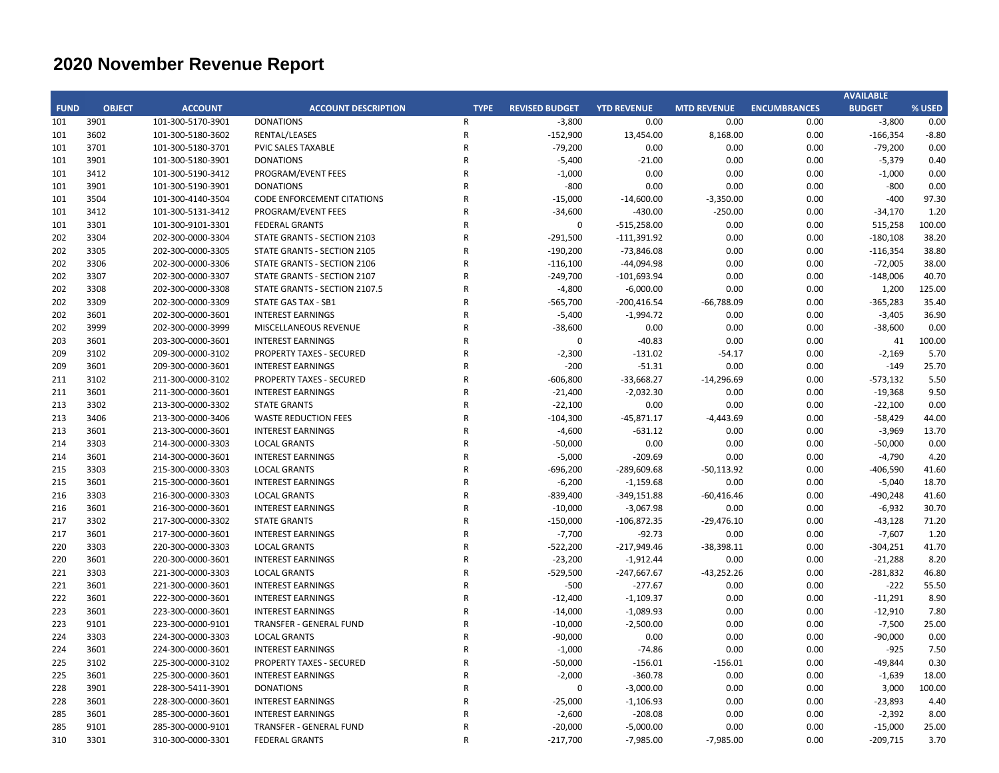|             |               |                   |                                   |                |                       |                    |                    |                     | <b>AVAILABLE</b> |         |
|-------------|---------------|-------------------|-----------------------------------|----------------|-----------------------|--------------------|--------------------|---------------------|------------------|---------|
| <b>FUND</b> | <b>OBJECT</b> | <b>ACCOUNT</b>    | <b>ACCOUNT DESCRIPTION</b>        | <b>TYPE</b>    | <b>REVISED BUDGET</b> | <b>YTD REVENUE</b> | <b>MTD REVENUE</b> | <b>ENCUMBRANCES</b> | <b>BUDGET</b>    | % USED  |
| 101         | 3901          | 101-300-5170-3901 | <b>DONATIONS</b>                  | R              | $-3,800$              | 0.00               | 0.00               | 0.00                | $-3,800$         | 0.00    |
| 101         | 3602          | 101-300-5180-3602 | <b>RENTAL/LEASES</b>              | ${\sf R}$      | $-152,900$            | 13,454.00          | 8,168.00           | 0.00                | $-166,354$       | $-8.80$ |
| 101         | 3701          | 101-300-5180-3701 | <b>PVIC SALES TAXABLE</b>         | R              | $-79,200$             | 0.00               | 0.00               | 0.00                | $-79,200$        | 0.00    |
| 101         | 3901          | 101-300-5180-3901 | <b>DONATIONS</b>                  | R              | $-5,400$              | $-21.00$           | 0.00               | 0.00                | $-5,379$         | 0.40    |
| 101         | 3412          | 101-300-5190-3412 | PROGRAM/EVENT FEES                | R              | $-1,000$              | 0.00               | 0.00               | 0.00                | $-1,000$         | 0.00    |
| 101         | 3901          | 101-300-5190-3901 | <b>DONATIONS</b>                  | R              | $-800$                | 0.00               | 0.00               | 0.00                | $-800$           | 0.00    |
| 101         | 3504          | 101-300-4140-3504 | <b>CODE ENFORCEMENT CITATIONS</b> | R              | $-15,000$             | $-14,600.00$       | $-3,350.00$        | 0.00                | $-400$           | 97.30   |
| 101         | 3412          | 101-300-5131-3412 | PROGRAM/EVENT FEES                | R              | $-34,600$             | $-430.00$          | $-250.00$          | 0.00                | $-34,170$        | 1.20    |
| 101         | 3301          | 101-300-9101-3301 | <b>FEDERAL GRANTS</b>             | R              | $\mathbf 0$           | $-515,258.00$      | 0.00               | 0.00                | 515,258          | 100.00  |
| 202         | 3304          | 202-300-0000-3304 | STATE GRANTS - SECTION 2103       | R              | $-291,500$            | $-111,391.92$      | 0.00               | 0.00                | $-180,108$       | 38.20   |
| 202         | 3305          | 202-300-0000-3305 | STATE GRANTS - SECTION 2105       | $\mathsf R$    | $-190,200$            | $-73,846.08$       | 0.00               | 0.00                | $-116,354$       | 38.80   |
| 202         | 3306          | 202-300-0000-3306 | STATE GRANTS - SECTION 2106       | R              | $-116,100$            | $-44,094.98$       | 0.00               | 0.00                | $-72,005$        | 38.00   |
| 202         | 3307          | 202-300-0000-3307 | STATE GRANTS - SECTION 2107       | R              | $-249,700$            | $-101,693.94$      | 0.00               | 0.00                | $-148,006$       | 40.70   |
| 202         | 3308          | 202-300-0000-3308 | STATE GRANTS - SECTION 2107.5     | R              | $-4,800$              | $-6,000.00$        | 0.00               | 0.00                | 1,200            | 125.00  |
| 202         | 3309          | 202-300-0000-3309 | STATE GAS TAX - SB1               | R              | $-565,700$            | $-200,416.54$      | $-66,788.09$       | 0.00                | $-365,283$       | 35.40   |
| 202         | 3601          | 202-300-0000-3601 | <b>INTEREST EARNINGS</b>          | R              | $-5,400$              | $-1,994.72$        | 0.00               | 0.00                | $-3,405$         | 36.90   |
| 202         | 3999          | 202-300-0000-3999 | MISCELLANEOUS REVENUE             | R              | $-38,600$             | 0.00               | 0.00               | 0.00                | $-38,600$        | 0.00    |
| 203         | 3601          | 203-300-0000-3601 | <b>INTEREST EARNINGS</b>          | R              | $\mathbf 0$           | $-40.83$           | 0.00               | 0.00                | 41               | 100.00  |
| 209         | 3102          | 209-300-0000-3102 | <b>PROPERTY TAXES - SECURED</b>   | R              | $-2,300$              | $-131.02$          | $-54.17$           | 0.00                | $-2,169$         | 5.70    |
| 209         | 3601          | 209-300-0000-3601 | <b>INTEREST EARNINGS</b>          | R              | $-200$                | $-51.31$           | 0.00               | 0.00                | $-149$           | 25.70   |
| 211         | 3102          | 211-300-0000-3102 | <b>PROPERTY TAXES - SECURED</b>   | R              | $-606,800$            | $-33,668.27$       | $-14,296.69$       | 0.00                | $-573,132$       | 5.50    |
| 211         | 3601          | 211-300-0000-3601 | <b>INTEREST EARNINGS</b>          | R              | $-21,400$             | $-2,032.30$        | 0.00               | 0.00                | $-19,368$        | 9.50    |
| 213         | 3302          | 213-300-0000-3302 | <b>STATE GRANTS</b>               | R              | $-22,100$             | 0.00               | 0.00               | 0.00                | $-22,100$        | 0.00    |
| 213         | 3406          | 213-300-0000-3406 | <b>WASTE REDUCTION FEES</b>       | R              | $-104,300$            | $-45,871.17$       | $-4,443.69$        | 0.00                | $-58,429$        | 44.00   |
| 213         | 3601          | 213-300-0000-3601 | <b>INTEREST EARNINGS</b>          | R              | $-4,600$              | $-631.12$          | 0.00               | 0.00                | $-3,969$         | 13.70   |
| 214         | 3303          | 214-300-0000-3303 | <b>LOCAL GRANTS</b>               | R              | $-50,000$             | 0.00               | 0.00               | 0.00                | $-50,000$        | 0.00    |
| 214         | 3601          | 214-300-0000-3601 | <b>INTEREST EARNINGS</b>          | R              | $-5,000$              | $-209.69$          | 0.00               | 0.00                | $-4,790$         | 4.20    |
| 215         | 3303          | 215-300-0000-3303 | <b>LOCAL GRANTS</b>               | R              | $-696,200$            | $-289,609.68$      | $-50,113.92$       | 0.00                | $-406,590$       | 41.60   |
| 215         | 3601          | 215-300-0000-3601 | <b>INTEREST EARNINGS</b>          | R              | $-6,200$              | $-1,159.68$        | 0.00               | 0.00                | $-5,040$         | 18.70   |
| 216         | 3303          | 216-300-0000-3303 | <b>LOCAL GRANTS</b>               | R              | $-839,400$            | $-349,151.88$      | $-60,416.46$       | 0.00                | -490,248         | 41.60   |
| 216         | 3601          | 216-300-0000-3601 | <b>INTEREST EARNINGS</b>          | R              | $-10,000$             | $-3,067.98$        | 0.00               | 0.00                | $-6,932$         | 30.70   |
| 217         | 3302          | 217-300-0000-3302 | <b>STATE GRANTS</b>               | R              | $-150,000$            | $-106,872.35$      | $-29,476.10$       | 0.00                | $-43,128$        | 71.20   |
| 217         | 3601          | 217-300-0000-3601 | <b>INTEREST EARNINGS</b>          | R              | $-7,700$              | $-92.73$           | 0.00               | 0.00                | $-7,607$         | 1.20    |
| 220         | 3303          | 220-300-0000-3303 | <b>LOCAL GRANTS</b>               | R              | $-522,200$            | $-217,949.46$      | $-38,398.11$       | 0.00                | $-304,251$       | 41.70   |
| 220         | 3601          | 220-300-0000-3601 | <b>INTEREST EARNINGS</b>          | R              | $-23,200$             | $-1,912.44$        | 0.00               | 0.00                | $-21,288$        | 8.20    |
| 221         | 3303          | 221-300-0000-3303 | <b>LOCAL GRANTS</b>               | $\mathsf R$    | $-529,500$            | $-247,667.67$      | $-43,252.26$       | 0.00                | $-281,832$       | 46.80   |
| 221         | 3601          | 221-300-0000-3601 | <b>INTEREST EARNINGS</b>          | R              | $-500$                | $-277.67$          | 0.00               | 0.00                | $-222$           | 55.50   |
| 222         | 3601          | 222-300-0000-3601 | <b>INTEREST EARNINGS</b>          | R              | $-12,400$             | $-1,109.37$        | 0.00               | 0.00                | $-11,291$        | 8.90    |
| 223         | 3601          | 223-300-0000-3601 | <b>INTEREST EARNINGS</b>          | R              | $-14,000$             | $-1,089.93$        | 0.00               | 0.00                | $-12,910$        | 7.80    |
| 223         | 9101          | 223-300-0000-9101 | TRANSFER - GENERAL FUND           | R              | $-10,000$             | $-2,500.00$        | 0.00               | 0.00                | $-7,500$         | 25.00   |
| 224         | 3303          | 224-300-0000-3303 | <b>LOCAL GRANTS</b>               | R              | -90,000               | 0.00               | 0.00               | 0.00                | $-90,000$        | 0.00    |
| 224         | 3601          | 224-300-0000-3601 | <b>INTEREST EARNINGS</b>          | R              | $-1,000$              | $-74.86$           | 0.00               | 0.00                | $-925$           | 7.50    |
| 225         | 3102          | 225-300-0000-3102 | <b>PROPERTY TAXES - SECURED</b>   | R              | $-50,000$             | $-156.01$          | $-156.01$          | 0.00                | $-49,844$        | 0.30    |
| 225         | 3601          | 225-300-0000-3601 | <b>INTEREST EARNINGS</b>          | $\mathsf R$    | $-2,000$              | $-360.78$          | 0.00               | 0.00                | $-1,639$         | 18.00   |
| 228         | 3901          | 228-300-5411-3901 | <b>DONATIONS</b>                  | R              | 0                     | $-3,000.00$        | 0.00               | 0.00                | 3,000            | 100.00  |
| 228         | 3601          | 228-300-0000-3601 | <b>INTEREST EARNINGS</b>          | R              | $-25,000$             | $-1,106.93$        | 0.00               | 0.00                | $-23,893$        | 4.40    |
| 285         | 3601          | 285-300-0000-3601 | <b>INTEREST EARNINGS</b>          | R              | $-2,600$              | $-208.08$          | 0.00               | 0.00                | $-2,392$         | 8.00    |
| 285         | 9101          | 285-300-0000-9101 | TRANSFER - GENERAL FUND           | R              | $-20,000$             | $-5,000.00$        | 0.00               | 0.00                | $-15,000$        | 25.00   |
| 310         | 3301          | 310-300-0000-3301 | <b>FEDERAL GRANTS</b>             | $\overline{R}$ | $-217,700$            | $-7,985.00$        | $-7,985.00$        | 0.00                | $-209,715$       | 3.70    |
|             |               |                   |                                   |                |                       |                    |                    |                     |                  |         |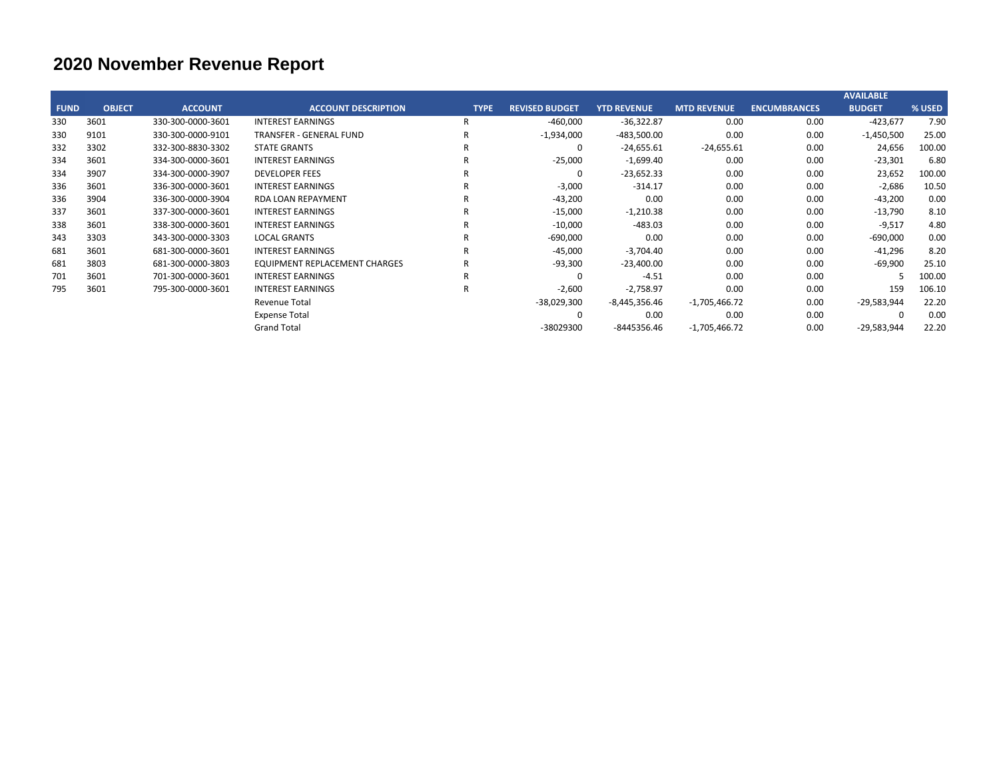|             |               |                   |                                      |             |                       |                    |                    |                     | <b>AVAILABLE</b> |        |
|-------------|---------------|-------------------|--------------------------------------|-------------|-----------------------|--------------------|--------------------|---------------------|------------------|--------|
| <b>FUND</b> | <b>OBJECT</b> | <b>ACCOUNT</b>    | <b>ACCOUNT DESCRIPTION</b>           | <b>TYPE</b> | <b>REVISED BUDGET</b> | <b>YTD REVENUE</b> | <b>MTD REVENUE</b> | <b>ENCUMBRANCES</b> | <b>BUDGET</b>    | % USED |
| 330         | 3601          | 330-300-0000-3601 | INTEREST EARNINGS                    | R           | $-460,000$            | $-36,322.87$       | 0.00               | 0.00                | $-423,677$       | 7.90   |
| 330         | 9101          | 330-300-0000-9101 | <b>TRANSFER - GENERAL FUND</b>       |             | $-1,934,000$          | $-483,500.00$      | 0.00               | 0.00                | $-1,450,500$     | 25.00  |
| 332         | 3302          | 332-300-8830-3302 | <b>STATE GRANTS</b>                  |             | $\Omega$              | $-24,655.61$       | $-24,655.61$       | 0.00                | 24,656           | 100.00 |
| 334         | 3601          | 334-300-0000-3601 | <b>INTEREST EARNINGS</b>             |             | $-25,000$             | $-1,699.40$        | 0.00               | 0.00                | $-23,301$        | 6.80   |
| 334         | 3907          | 334-300-0000-3907 | <b>DEVELOPER FEES</b>                |             | $\Omega$              | $-23,652.33$       | 0.00               | 0.00                | 23,652           | 100.00 |
| 336         | 3601          | 336-300-0000-3601 | <b>INTEREST EARNINGS</b>             |             | $-3,000$              | $-314.17$          | 0.00               | 0.00                | $-2,686$         | 10.50  |
| 336         | 3904          | 336-300-0000-3904 | <b>RDA LOAN REPAYMENT</b>            |             | $-43,200$             | 0.00               | 0.00               | 0.00                | $-43,200$        | 0.00   |
| 337         | 3601          | 337-300-0000-3601 | <b>INTEREST EARNINGS</b>             |             | $-15,000$             | $-1,210.38$        | 0.00               | 0.00                | $-13,790$        | 8.10   |
| 338         | 3601          | 338-300-0000-3601 | <b>INTEREST EARNINGS</b>             |             | $-10,000$             | $-483.03$          | 0.00               | 0.00                | $-9,517$         | 4.80   |
| 343         | 3303          | 343-300-0000-3303 | <b>LOCAL GRANTS</b>                  |             | $-690,000$            | 0.00               | 0.00               | 0.00                | $-690,000$       | 0.00   |
| 681         | 3601          | 681-300-0000-3601 | <b>INTEREST EARNINGS</b>             |             | $-45,000$             | $-3,704.40$        | 0.00               | 0.00                | $-41,296$        | 8.20   |
| 681         | 3803          | 681-300-0000-3803 | <b>EQUIPMENT REPLACEMENT CHARGES</b> |             | $-93,300$             | $-23,400.00$       | 0.00               | 0.00                | $-69,900$        | 25.10  |
| 701         | 3601          | 701-300-0000-3601 | <b>INTEREST EARNINGS</b>             |             | $\Omega$              | $-4.51$            | 0.00               | 0.00                |                  | 100.00 |
| 795         | 3601          | 795-300-0000-3601 | <b>INTEREST EARNINGS</b>             |             | $-2,600$              | $-2,758.97$        | 0.00               | 0.00                | 159              | 106.10 |
|             |               |                   | <b>Revenue Total</b>                 |             | $-38,029,300$         | $-8,445,356.46$    | $-1,705,466.72$    | 0.00                | $-29,583,944$    | 22.20  |
|             |               |                   | <b>Expense Total</b>                 |             | 0                     | 0.00               | 0.00               | 0.00                |                  | 0.00   |
|             |               |                   | <b>Grand Total</b>                   |             | -38029300             | -8445356.46        | $-1,705,466.72$    | 0.00                | $-29,583,944$    | 22.20  |
|             |               |                   |                                      |             |                       |                    |                    |                     |                  |        |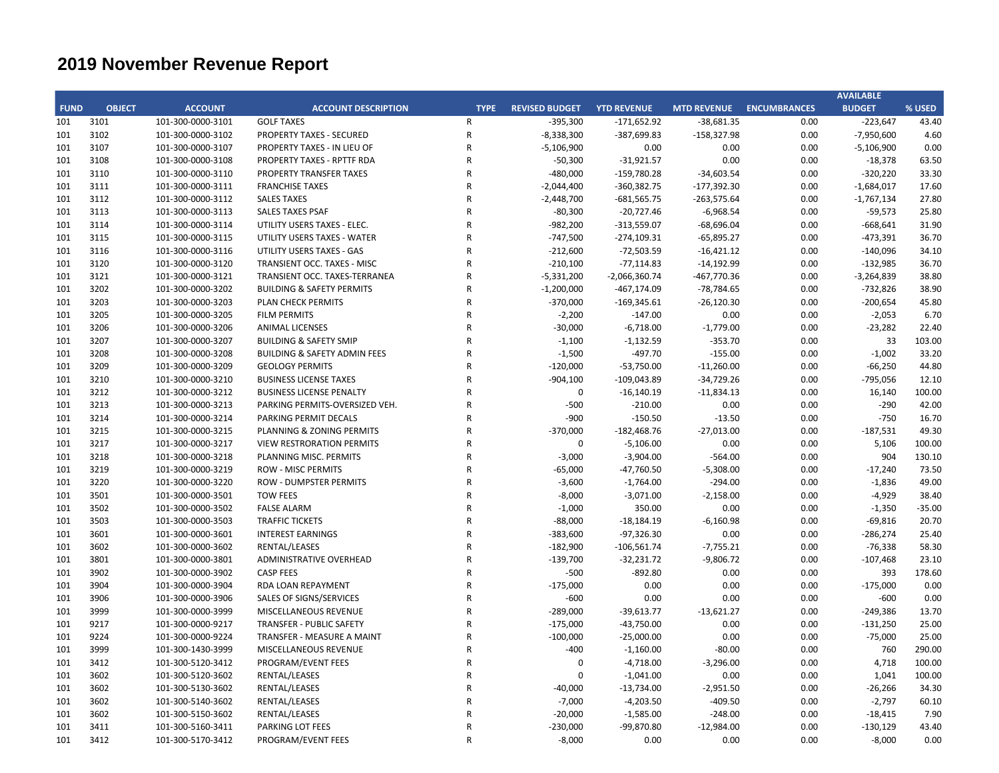|             |               |                   |                                         |                |                          |                           |                            |                     | <b>AVAILABLE</b> |          |
|-------------|---------------|-------------------|-----------------------------------------|----------------|--------------------------|---------------------------|----------------------------|---------------------|------------------|----------|
| <b>FUND</b> | <b>OBJECT</b> | <b>ACCOUNT</b>    | <b>ACCOUNT DESCRIPTION</b>              | <b>TYPE</b>    | <b>REVISED BUDGET</b>    | <b>YTD REVENUE</b>        | <b>MTD REVENUE</b>         | <b>ENCUMBRANCES</b> | <b>BUDGET</b>    | % USED   |
| 101         | 3101          | 101-300-0000-3101 | <b>GOLF TAXES</b>                       | $\mathsf{R}$   | $-395,300$               | $-171,652.92$             | $-38,681.35$               | 0.00                | $-223,647$       | 43.40    |
| 101         | 3102          | 101-300-0000-3102 | PROPERTY TAXES - SECURED                | ${\sf R}$      | $-8,338,300$             | $-387,699.83$             | $-158,327.98$              | 0.00                | $-7,950,600$     | 4.60     |
| 101         | 3107          | 101-300-0000-3107 | PROPERTY TAXES - IN LIEU OF             | $\mathsf{R}$   | $-5,106,900$             | 0.00                      | 0.00                       | 0.00                | $-5,106,900$     | 0.00     |
| 101         | 3108          | 101-300-0000-3108 | PROPERTY TAXES - RPTTF RDA              | $\mathsf{R}$   | $-50,300$                | $-31,921.57$              | 0.00                       | 0.00                | $-18,378$        | 63.50    |
| 101         | 3110          | 101-300-0000-3110 | PROPERTY TRANSFER TAXES                 | $\mathsf{R}$   | $-480,000$               | $-159,780.28$             | $-34,603.54$               | 0.00                | $-320,220$       | 33.30    |
| 101         | 3111          | 101-300-0000-3111 | <b>FRANCHISE TAXES</b>                  | $\overline{R}$ | $-2,044,400$             | $-360,382.75$             | $-177,392.30$              | 0.00                | $-1,684,017$     | 17.60    |
| 101         | 3112          | 101-300-0000-3112 | <b>SALES TAXES</b>                      | $\mathsf{R}$   | $-2,448,700$             | $-681,565.75$             | $-263,575.64$              | 0.00                | $-1,767,134$     | 27.80    |
| 101         | 3113          | 101-300-0000-3113 | <b>SALES TAXES PSAF</b>                 | $\overline{R}$ | $-80,300$                | $-20,727.46$              | $-6,968.54$                | 0.00                | $-59,573$        | 25.80    |
| 101         | 3114          | 101-300-0000-3114 | UTILITY USERS TAXES - ELEC.             | $\mathsf{R}$   | $-982,200$               | $-313,559.07$             | $-68,696.04$               | 0.00                | $-668,641$       | 31.90    |
| 101         | 3115          | 101-300-0000-3115 | UTILITY USERS TAXES - WATER             | $\mathsf{R}$   | $-747,500$               | $-274,109.31$             | $-65,895.27$               | 0.00                | $-473,391$       | 36.70    |
| 101         | 3116          | 101-300-0000-3116 | UTILITY USERS TAXES - GAS               | $\mathsf{R}$   | $-212,600$               | $-72,503.59$              | $-16,421.12$               | 0.00                | $-140,096$       | 34.10    |
| 101         | 3120          | 101-300-0000-3120 | TRANSIENT OCC. TAXES - MISC             | $\mathsf{R}$   | $-210,100$               | $-77,114.83$              | $-14,192.99$               | 0.00                | $-132,985$       | 36.70    |
| 101         | 3121          | 101-300-0000-3121 | TRANSIENT OCC. TAXES-TERRANEA           | $\mathsf{R}$   | $-5,331,200$             | $-2,066,360.74$           | -467,770.36                | 0.00                | $-3,264,839$     | 38.80    |
| 101         | 3202          | 101-300-0000-3202 | <b>BUILDING &amp; SAFETY PERMITS</b>    | $\mathsf{R}$   | $-1,200,000$             | $-467, 174.09$            | $-78,784.65$               | 0.00                | $-732,826$       | 38.90    |
| 101         | 3203          | 101-300-0000-3203 | PLAN CHECK PERMITS                      | $\mathsf{R}$   | $-370,000$               | $-169,345.61$             | $-26,120.30$               | 0.00                | $-200,654$       | 45.80    |
| 101         | 3205          | 101-300-0000-3205 | <b>FILM PERMITS</b>                     | $\mathsf{R}$   | $-2,200$                 | $-147.00$                 | 0.00                       | 0.00                | $-2,053$         | 6.70     |
| 101         | 3206          | 101-300-0000-3206 | <b>ANIMAL LICENSES</b>                  | $\overline{R}$ | $-30,000$                | $-6,718.00$               | $-1,779.00$                | 0.00                | $-23,282$        | 22.40    |
| 101         | 3207          | 101-300-0000-3207 | <b>BUILDING &amp; SAFETY SMIP</b>       | $\mathsf{R}$   | $-1,100$                 | $-1,132.59$               | $-353.70$                  | 0.00                | 33               | 103.00   |
| 101         | 3208          | 101-300-0000-3208 | <b>BUILDING &amp; SAFETY ADMIN FEES</b> | $\overline{R}$ | $-1,500$                 | $-497.70$                 | $-155.00$                  | 0.00                | $-1,002$         | 33.20    |
| 101         | 3209          | 101-300-0000-3209 | <b>GEOLOGY PERMITS</b>                  | $\mathsf{R}$   | $-120,000$               | $-53,750.00$              | $-11,260.00$               | 0.00                | $-66,250$        | 44.80    |
| 101         | 3210          | 101-300-0000-3210 | <b>BUSINESS LICENSE TAXES</b>           | $\mathsf{R}$   | $-904,100$               | $-109,043.89$             | $-34,729.26$               | 0.00                | $-795,056$       | 12.10    |
| 101         | 3212          | 101-300-0000-3212 | <b>BUSINESS LICENSE PENALTY</b>         | $\mathsf{R}$   | $\pmb{0}$                | $-16,140.19$              | $-11,834.13$               | 0.00                | 16,140           | 100.00   |
| 101         | 3213          | 101-300-0000-3213 | PARKING PERMITS-OVERSIZED VEH.          | $\mathsf{R}$   | $-500$                   | $-210.00$                 | 0.00                       | 0.00                | $-290$           | 42.00    |
| 101         | 3214          | 101-300-0000-3214 | PARKING PERMIT DECALS                   | $\mathsf{R}$   | $-900$                   | $-150.50$                 | $-13.50$                   | 0.00                | $-750$           | 16.70    |
| 101         | 3215          | 101-300-0000-3215 | PLANNING & ZONING PERMITS               | $\overline{R}$ | $-370,000$               | $-182,468.76$             | $-27,013.00$               | 0.00                | $-187,531$       | 49.30    |
| 101         | 3217          | 101-300-0000-3217 | <b>VIEW RESTRORATION PERMITS</b>        | $\mathsf{R}$   | 0                        | $-5,106.00$               | 0.00                       | 0.00                | 5,106            | 100.00   |
| 101         | 3218          | 101-300-0000-3218 | PLANNING MISC. PERMITS                  | $\overline{R}$ | $-3,000$                 | $-3,904.00$               | $-564.00$                  | 0.00                | 904              | 130.10   |
| 101         | 3219          | 101-300-0000-3219 | <b>ROW - MISC PERMITS</b>               | $\mathsf{R}$   | $-65,000$                | $-47,760.50$              | $-5,308.00$                | 0.00                | $-17,240$        | 73.50    |
| 101         | 3220          | 101-300-0000-3220 | <b>ROW - DUMPSTER PERMITS</b>           | $\mathsf{R}$   | $-3,600$                 | $-1,764.00$               | $-294.00$                  | 0.00                | $-1,836$         | 49.00    |
| 101         | 3501          | 101-300-0000-3501 | <b>TOW FEES</b>                         | $\overline{R}$ | $-8,000$                 | $-3,071.00$               | $-2,158.00$                | 0.00                | $-4,929$         | 38.40    |
| 101         | 3502          | 101-300-0000-3502 | <b>FALSE ALARM</b>                      | $\mathsf{R}$   | $-1,000$                 | 350.00                    | 0.00                       | 0.00                | $-1,350$         | $-35.00$ |
| 101         | 3503          | 101-300-0000-3503 | <b>TRAFFIC TICKETS</b>                  | $\mathsf{R}$   | $-88,000$                | $-18,184.19$              | $-6,160.98$                | 0.00                | $-69,816$        | 20.70    |
| 101         | 3601          | 101-300-0000-3601 | <b>INTEREST EARNINGS</b>                | $\mathsf{R}$   | $-383,600$               | $-97,326.30$              | 0.00                       | 0.00                | $-286,274$       | 25.40    |
|             | 3602          | 101-300-0000-3602 | RENTAL/LEASES                           | $\mathsf{R}$   |                          |                           |                            | 0.00                |                  | 58.30    |
| 101         | 3801          |                   | ADMINISTRATIVE OVERHEAD                 | $\mathsf{R}$   | $-182,900$<br>$-139,700$ | $-106,561.74$             | $-7,755.21$<br>$-9,806.72$ | 0.00                | $-76,338$        | 23.10    |
| 101         | 3902          | 101-300-0000-3801 | <b>CASP FEES</b>                        | $\mathsf{R}$   | $-500$                   | $-32,231.72$<br>$-892.80$ | 0.00                       | 0.00                | $-107,468$       | 178.60   |
| 101         |               | 101-300-0000-3902 |                                         | $\mathsf{R}$   |                          |                           |                            |                     | 393              |          |
| 101         | 3904          | 101-300-0000-3904 | RDA LOAN REPAYMENT                      | $\overline{R}$ | $-175,000$               | 0.00                      | 0.00                       | 0.00                | $-175,000$       | 0.00     |
| 101         | 3906          | 101-300-0000-3906 | SALES OF SIGNS/SERVICES                 |                | $-600$                   | 0.00                      | 0.00                       | 0.00                | $-600$           | 0.00     |
| 101         | 3999<br>9217  | 101-300-0000-3999 | MISCELLANEOUS REVENUE                   | $\mathsf{R}$   | $-289,000$               | $-39,613.77$              | $-13,621.27$               | 0.00                | $-249,386$       | 13.70    |
| 101         |               | 101-300-0000-9217 | <b>TRANSFER - PUBLIC SAFETY</b>         | $\mathsf{R}$   | $-175,000$               | $-43,750.00$              | 0.00                       | 0.00                | $-131,250$       | 25.00    |
| 101         | 9224          | 101-300-0000-9224 | TRANSFER - MEASURE A MAINT              | $\mathsf{R}$   | $-100,000$               | $-25,000.00$              | 0.00                       | 0.00                | $-75,000$        | 25.00    |
| 101         | 3999          | 101-300-1430-3999 | MISCELLANEOUS REVENUE                   | $\mathsf{R}$   | $-400$                   | $-1,160.00$               | $-80.00$                   | 0.00                | 760              | 290.00   |
| 101         | 3412          | 101-300-5120-3412 | PROGRAM/EVENT FEES                      | $\mathsf R$    | 0                        | $-4,718.00$               | $-3,296.00$                | 0.00                | 4,718            | 100.00   |
| 101         | 3602          | 101-300-5120-3602 | RENTAL/LEASES                           | $\overline{R}$ | $\Omega$                 | $-1,041.00$               | 0.00                       | 0.00                | 1,041            | 100.00   |
| 101         | 3602          | 101-300-5130-3602 | RENTAL/LEASES                           | $\overline{R}$ | $-40,000$                | $-13,734.00$              | $-2,951.50$                | 0.00                | $-26,266$        | 34.30    |
| 101         | 3602          | 101-300-5140-3602 | RENTAL/LEASES                           | $\overline{R}$ | $-7,000$                 | $-4,203.50$               | $-409.50$                  | 0.00                | $-2,797$         | 60.10    |
| 101         | 3602          | 101-300-5150-3602 | RENTAL/LEASES                           | $\overline{R}$ | $-20,000$                | $-1,585.00$               | $-248.00$                  | 0.00                | $-18,415$        | 7.90     |
| 101         | 3411          | 101-300-5160-3411 | PARKING LOT FEES                        | $\mathsf{R}$   | $-230,000$               | $-99,870.80$              | $-12,984.00$               | 0.00                | $-130,129$       | 43.40    |
| 101         | 3412          | 101-300-5170-3412 | PROGRAM/EVENT FEES                      | $\mathsf{R}$   | $-8,000$                 | 0.00                      | 0.00                       | 0.00                | $-8,000$         | 0.00     |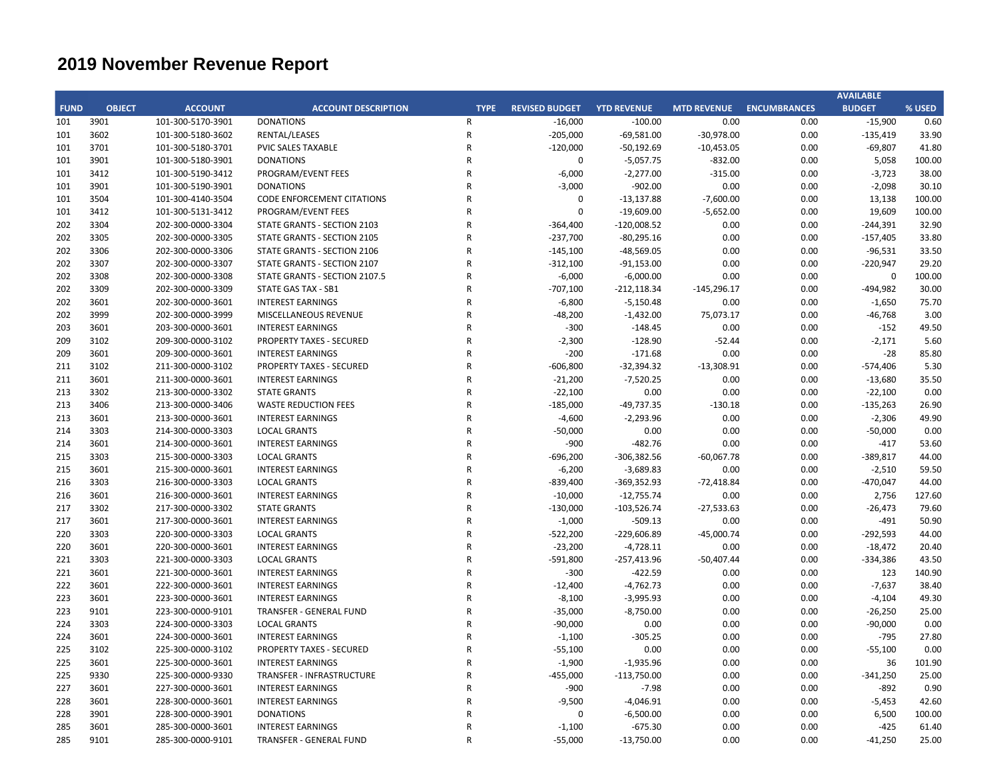|             |               |                   |                                    |                |                       |                    |                    |                     | <b>AVAILABLE</b> |        |
|-------------|---------------|-------------------|------------------------------------|----------------|-----------------------|--------------------|--------------------|---------------------|------------------|--------|
| <b>FUND</b> | <b>OBJECT</b> | <b>ACCOUNT</b>    | <b>ACCOUNT DESCRIPTION</b>         | <b>TYPE</b>    | <b>REVISED BUDGET</b> | <b>YTD REVENUE</b> | <b>MTD REVENUE</b> | <b>ENCUMBRANCES</b> | <b>BUDGET</b>    | % USED |
| 101         | 3901          | 101-300-5170-3901 | <b>DONATIONS</b>                   | $\mathsf{R}$   | $-16,000$             | $-100.00$          | 0.00               | 0.00                | $-15,900$        | 0.60   |
| 101         | 3602          | 101-300-5180-3602 | RENTAL/LEASES                      | ${\sf R}$      | $-205,000$            | $-69,581.00$       | $-30,978.00$       | 0.00                | $-135,419$       | 33.90  |
| 101         | 3701          | 101-300-5180-3701 | PVIC SALES TAXABLE                 | $\mathsf{R}$   | $-120,000$            | $-50,192.69$       | $-10,453.05$       | 0.00                | $-69,807$        | 41.80  |
| 101         | 3901          | 101-300-5180-3901 | <b>DONATIONS</b>                   | $\mathsf{R}$   | 0                     | $-5,057.75$        | $-832.00$          | 0.00                | 5,058            | 100.00 |
| 101         | 3412          | 101-300-5190-3412 | PROGRAM/EVENT FEES                 | $\mathsf{R}$   | $-6,000$              | $-2,277.00$        | $-315.00$          | 0.00                | $-3,723$         | 38.00  |
| 101         | 3901          | 101-300-5190-3901 | <b>DONATIONS</b>                   | $\overline{R}$ | $-3,000$              | $-902.00$          | 0.00               | 0.00                | $-2,098$         | 30.10  |
| 101         | 3504          | 101-300-4140-3504 | <b>CODE ENFORCEMENT CITATIONS</b>  | $\overline{R}$ | $\pmb{0}$             | $-13,137.88$       | $-7,600.00$        | 0.00                | 13,138           | 100.00 |
| 101         | 3412          | 101-300-5131-3412 | PROGRAM/EVENT FEES                 | $\overline{R}$ | $\mathbf 0$           | $-19,609.00$       | $-5,652.00$        | 0.00                | 19,609           | 100.00 |
| 202         | 3304          | 202-300-0000-3304 | STATE GRANTS - SECTION 2103        | $\mathsf{R}$   | $-364,400$            | $-120,008.52$      | 0.00               | 0.00                | -244,391         | 32.90  |
| 202         | 3305          | 202-300-0000-3305 | <b>STATE GRANTS - SECTION 2105</b> | $\overline{R}$ | $-237,700$            | $-80,295.16$       | 0.00               | 0.00                | $-157,405$       | 33.80  |
| 202         | 3306          | 202-300-0000-3306 | STATE GRANTS - SECTION 2106        | $\mathsf{R}$   | $-145,100$            | $-48,569.05$       | 0.00               | 0.00                | $-96,531$        | 33.50  |
| 202         | 3307          | 202-300-0000-3307 | STATE GRANTS - SECTION 2107        | $\mathsf{R}$   | $-312,100$            | $-91,153.00$       | 0.00               | 0.00                | $-220,947$       | 29.20  |
| 202         | 3308          | 202-300-0000-3308 | STATE GRANTS - SECTION 2107.5      | $\mathsf{R}$   | $-6,000$              | $-6,000.00$        | 0.00               | 0.00                | 0                | 100.00 |
| 202         | 3309          | 202-300-0000-3309 | STATE GAS TAX - SB1                | $\mathsf{R}$   | $-707,100$            | $-212,118.34$      | $-145,296.17$      | 0.00                | -494,982         | 30.00  |
| 202         | 3601          | 202-300-0000-3601 | <b>INTEREST EARNINGS</b>           | $\mathsf{R}$   | $-6,800$              | $-5,150.48$        | 0.00               | 0.00                | $-1,650$         | 75.70  |
| 202         | 3999          | 202-300-0000-3999 | MISCELLANEOUS REVENUE              | $\mathsf{R}$   | $-48,200$             | $-1,432.00$        | 75,073.17          | 0.00                | $-46,768$        | 3.00   |
| 203         | 3601          | 203-300-0000-3601 | <b>INTEREST EARNINGS</b>           | $\overline{R}$ | $-300$                | $-148.45$          | 0.00               | 0.00                | $-152$           | 49.50  |
| 209         | 3102          | 209-300-0000-3102 | <b>PROPERTY TAXES - SECURED</b>    | $\mathsf{R}$   | $-2,300$              | $-128.90$          | $-52.44$           | 0.00                | $-2,171$         | 5.60   |
| 209         | 3601          | 209-300-0000-3601 | <b>INTEREST EARNINGS</b>           | $\mathsf{R}$   | $-200$                | $-171.68$          | 0.00               | 0.00                | $-28$            | 85.80  |
| 211         | 3102          | 211-300-0000-3102 | <b>PROPERTY TAXES - SECURED</b>    | $\mathsf{R}$   | $-606,800$            | $-32,394.32$       | $-13,308.91$       | 0.00                | $-574,406$       | 5.30   |
| 211         | 3601          | 211-300-0000-3601 | <b>INTEREST EARNINGS</b>           | $\overline{R}$ | $-21,200$             | $-7,520.25$        | 0.00               | 0.00                | $-13,680$        | 35.50  |
| 213         | 3302          | 213-300-0000-3302 | <b>STATE GRANTS</b>                | $\overline{R}$ | $-22,100$             | 0.00               | 0.00               | 0.00                | $-22,100$        | 0.00   |
| 213         | 3406          | 213-300-0000-3406 | <b>WASTE REDUCTION FEES</b>        | $\overline{R}$ | $-185,000$            | $-49,737.35$       | $-130.18$          | 0.00                | $-135,263$       | 26.90  |
| 213         | 3601          | 213-300-0000-3601 | <b>INTEREST EARNINGS</b>           | $\mathsf{R}$   | $-4,600$              | $-2,293.96$        | 0.00               | 0.00                | $-2,306$         | 49.90  |
| 214         | 3303          | 214-300-0000-3303 | <b>LOCAL GRANTS</b>                | $\overline{R}$ | $-50,000$             | 0.00               | 0.00               | 0.00                | $-50,000$        | 0.00   |
| 214         | 3601          | 214-300-0000-3601 | <b>INTEREST EARNINGS</b>           | $\mathsf{R}$   | -900                  | $-482.76$          | 0.00               | 0.00                | $-417$           | 53.60  |
| 215         | 3303          | 215-300-0000-3303 | <b>LOCAL GRANTS</b>                | $\overline{R}$ | $-696,200$            | $-306,382.56$      | $-60,067.78$       | 0.00                | -389,817         | 44.00  |
| 215         | 3601          | 215-300-0000-3601 | <b>INTEREST EARNINGS</b>           | $\overline{R}$ | $-6,200$              | $-3,689.83$        | 0.00               | 0.00                | $-2,510$         | 59.50  |
| 216         | 3303          | 216-300-0000-3303 | <b>LOCAL GRANTS</b>                | $\overline{R}$ | -839,400              | $-369,352.93$      | $-72,418.84$       | 0.00                | -470,047         | 44.00  |
| 216         | 3601          | 216-300-0000-3601 | <b>INTEREST EARNINGS</b>           | $\mathsf{R}$   | $-10,000$             | $-12,755.74$       | 0.00               | 0.00                | 2,756            | 127.60 |
| 217         | 3302          | 217-300-0000-3302 | <b>STATE GRANTS</b>                | $\overline{R}$ | $-130,000$            | $-103,526.74$      | $-27,533.63$       | 0.00                | $-26,473$        | 79.60  |
| 217         | 3601          | 217-300-0000-3601 | <b>INTEREST EARNINGS</b>           | $\mathsf{R}$   | $-1,000$              | $-509.13$          | 0.00               | 0.00                | $-491$           | 50.90  |
| 220         | 3303          | 220-300-0000-3303 | <b>LOCAL GRANTS</b>                | $\overline{R}$ | $-522,200$            | $-229,606.89$      | $-45,000.74$       | 0.00                | $-292,593$       | 44.00  |
| 220         | 3601          | 220-300-0000-3601 | <b>INTEREST EARNINGS</b>           | $\mathsf{R}$   | $-23,200$             | $-4,728.11$        | 0.00               | 0.00                | $-18,472$        | 20.40  |
| 221         | 3303          | 221-300-0000-3303 | <b>LOCAL GRANTS</b>                | $\mathsf{R}$   | $-591,800$            | $-257,413.96$      | $-50,407.44$       | 0.00                | $-334,386$       | 43.50  |
| 221         | 3601          | 221-300-0000-3601 | <b>INTEREST EARNINGS</b>           | $\mathsf{R}$   | $-300$                | $-422.59$          | 0.00               | 0.00                | 123              | 140.90 |
| 222         | 3601          | 222-300-0000-3601 | <b>INTEREST EARNINGS</b>           | $\mathsf{R}$   | $-12,400$             | $-4,762.73$        | 0.00               | 0.00                | $-7,637$         | 38.40  |
| 223         | 3601          | 223-300-0000-3601 | <b>INTEREST EARNINGS</b>           | $\overline{R}$ | $-8,100$              | $-3,995.93$        | 0.00               | 0.00                | $-4,104$         | 49.30  |
| 223         | 9101          | 223-300-0000-9101 | TRANSFER - GENERAL FUND            | $\mathsf{R}$   | $-35,000$             | $-8,750.00$        | 0.00               | 0.00                | $-26,250$        | 25.00  |
| 224         | 3303          | 224-300-0000-3303 | <b>LOCAL GRANTS</b>                | $\overline{R}$ | $-90,000$             | 0.00               | 0.00               | 0.00                | $-90,000$        | 0.00   |
| 224         | 3601          | 224-300-0000-3601 | <b>INTEREST EARNINGS</b>           | $\overline{R}$ | $-1,100$              | $-305.25$          | 0.00               | 0.00                | $-795$           | 27.80  |
| 225         | 3102          | 225-300-0000-3102 | PROPERTY TAXES - SECURED           | $\overline{R}$ | $-55,100$             | 0.00               | 0.00               | 0.00                | $-55,100$        | 0.00   |
| 225         | 3601          | 225-300-0000-3601 | <b>INTEREST EARNINGS</b>           | $\mathsf{R}$   | $-1,900$              | $-1,935.96$        | 0.00               | 0.00                | 36               | 101.90 |
| 225         | 9330          | 225-300-0000-9330 | TRANSFER - INFRASTRUCTURE          | $\mathsf{R}$   | $-455,000$            | $-113,750.00$      | 0.00               | 0.00                | $-341,250$       | 25.00  |
| 227         | 3601          | 227-300-0000-3601 | <b>INTEREST EARNINGS</b>           | $\mathsf{R}$   | -900                  | $-7.98$            | 0.00               | 0.00                | $-892$           | 0.90   |
| 228         | 3601          | 228-300-0000-3601 | <b>INTEREST EARNINGS</b>           | $\mathsf{R}$   | $-9,500$              | $-4,046.91$        | 0.00               | 0.00                | $-5,453$         | 42.60  |
| 228         | 3901          | 228-300-0000-3901 | <b>DONATIONS</b>                   | $\mathsf{R}$   | 0                     | $-6,500.00$        | 0.00               | 0.00                | 6,500            | 100.00 |
| 285         | 3601          | 285-300-0000-3601 | <b>INTEREST EARNINGS</b>           | $\mathsf{R}$   | $-1,100$              | $-675.30$          | 0.00               | 0.00                | $-425$           | 61.40  |
| 285         | 9101          | 285-300-0000-9101 | TRANSFER - GENERAL FUND            | $\mathsf{R}$   | $-55,000$             | $-13,750.00$       | 0.00               | 0.00                | $-41,250$        | 25.00  |
|             |               |                   |                                    |                |                       |                    |                    |                     |                  |        |